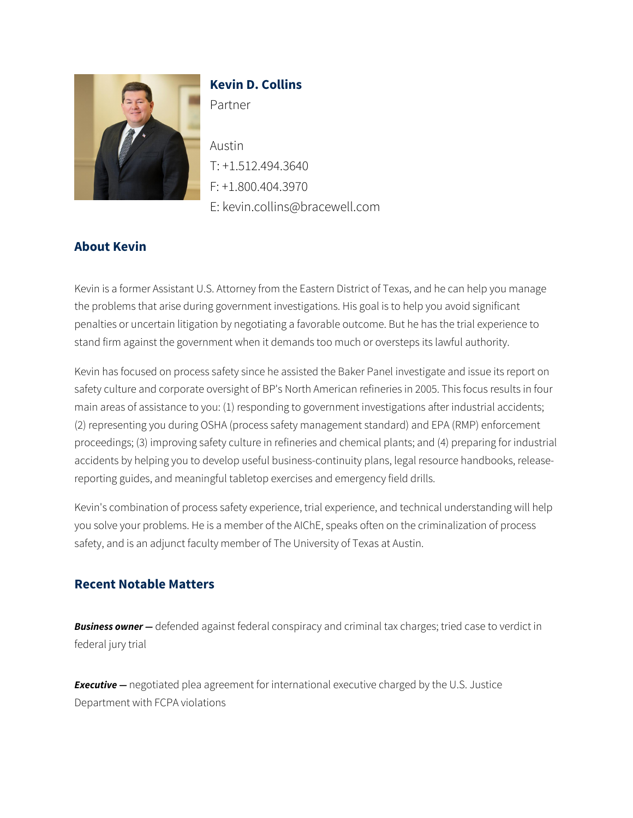

# **Kevin D. Collins**

Partner

Austin T: +1.512.494.3640 F: +1.800.404.3970 E: kevin.collins@bracewell.com

## **About Kevin**

Kevin is a former Assistant U.S. Attorney from the Eastern District of Texas, and he can help you manage the problems that arise during government investigations. His goal is to help you avoid significant penalties or uncertain litigation by negotiating a favorable outcome. But he has the trial experience to stand firm against the government when it demands too much or oversteps its lawful authority.

Kevin has focused on process safety since he assisted the Baker Panel investigate and issue its report on safety culture and corporate oversight of BP's North American refineries in 2005. This focus results in four main areas of assistance to you: (1) responding to government investigations after industrial accidents; (2) representing you during OSHA (process safety management standard) and EPA (RMP) enforcement proceedings; (3) improving safety culture in refineries and chemical plants; and (4) preparing for industrial accidents by helping you to develop useful business-continuity plans, legal resource handbooks, releasereporting guides, and meaningful tabletop exercises and emergency field drills.

Kevin's combination of process safety experience, trial experience, and technical understanding will help you solve your problems. He is a member of the AIChE, speaks often on the criminalization of process safety, and is an adjunct faculty member of The University of Texas at Austin.

## **Recent Notable Matters**

*Business owner —* defended against federal conspiracy and criminal tax charges; tried case to verdict in federal jury trial

**Executive** – negotiated plea agreement for international executive charged by the U.S. Justice Department with FCPA violations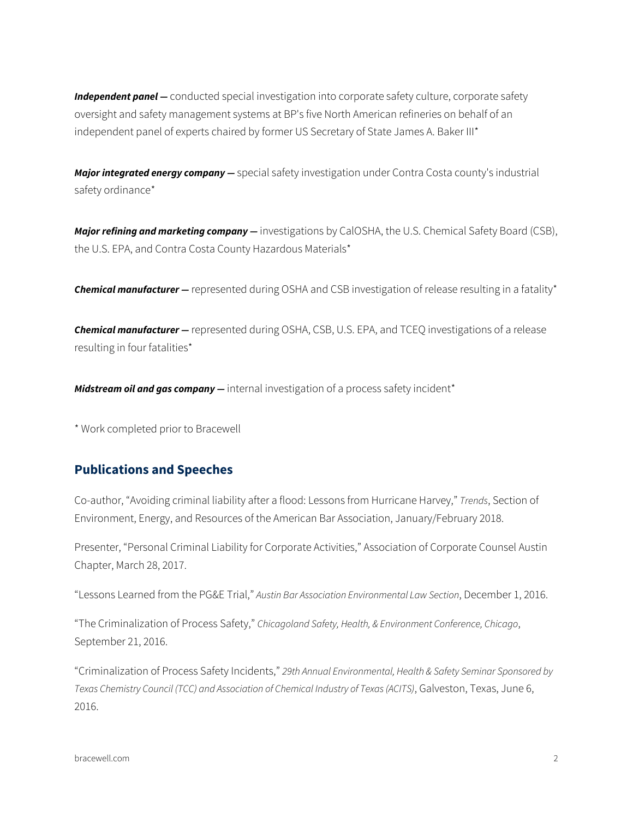*Independent panel —* conducted special investigation into corporate safety culture, corporate safety oversight and safety management systems at BP's five North American refineries on behalf of an independent panel of experts chaired by former US Secretary of State James A. Baker III\*

*Major integrated energy company —* special safety investigation under Contra Costa county's industrial safety ordinance\*

*Major refining and marketing company —* investigations by CalOSHA, the U.S. Chemical Safety Board (CSB), the U.S. EPA, and Contra Costa County Hazardous Materials\*

*Chemical manufacturer —* represented during OSHA and CSB investigation of release resulting in a fatality\*

*Chemical manufacturer —* represented during OSHA, CSB, U.S. EPA, and TCEQ investigations of a release resulting in four fatalities\*

*Midstream oil and gas company —* internal investigation of a process safety incident\*

\* Work completed prior to Bracewell

### **Publications and Speeches**

Co-author, "Avoiding criminal liability after a flood: Lessons from Hurricane Harvey," *Trends*, Section of Environment, Energy, and Resources of the American Bar Association, January/February 2018.

Presenter, "Personal Criminal Liability for Corporate Activities," Association of Corporate Counsel Austin Chapter, March 28, 2017.

"Lessons Learned from the PG&E Trial," *Austin Bar Association Environmental Law Section*, December 1, 2016.

"The Criminalization of Process Safety," *Chicagoland Safety, Health, & Environment Conference, Chicago*, September 21, 2016.

"Criminalization of Process Safety Incidents," *29th Annual Environmental, Health & Safety Seminar Sponsored by Texas Chemistry Council (TCC) and Association of Chemical Industry of Texas (ACITS)*, Galveston, Texas, June 6, 2016.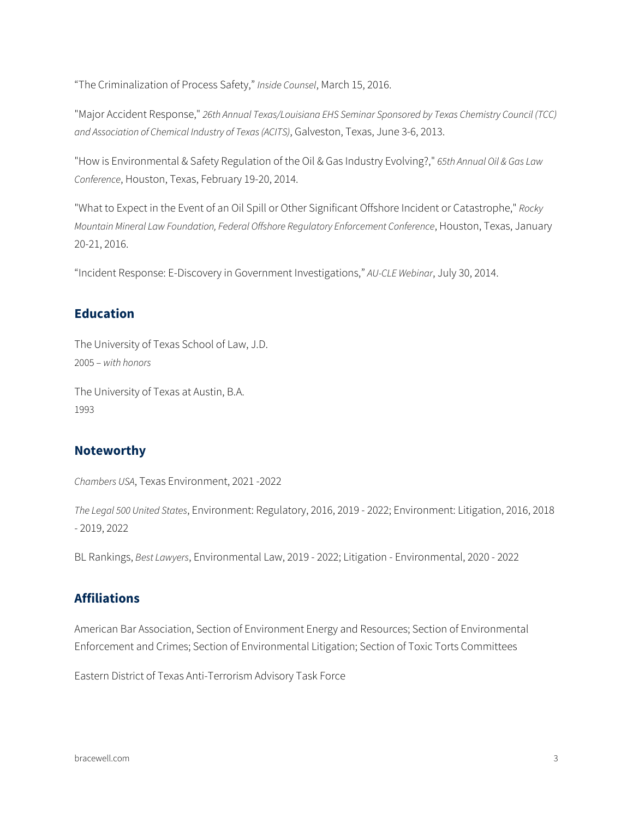"The Criminalization of Process Safety," *Inside Counsel*, March 15, 2016.

"Major Accident Response," *26th Annual Texas/Louisiana EHS Seminar Sponsored by Texas Chemistry Council (TCC) and Association of Chemical Industry of Texas (ACITS)*, Galveston, Texas, June 3-6, 2013.

"How is Environmental & Safety Regulation of the Oil & Gas Industry Evolving?," *65th Annual Oil & Gas Law Conference*, Houston, Texas, February 19-20, 2014.

"What to Expect in the Event of an Oil Spill or Other Significant Offshore Incident or Catastrophe," *Rocky Mountain Mineral Law Foundation, Federal Offshore Regulatory Enforcement Conference*, Houston, Texas, January 20-21, 2016.

"Incident Response: E-Discovery in Government Investigations," *AU-CLE Webinar*, July 30, 2014.

#### **Education**

The University of Texas School of Law, J.D. 2005 – *with honors*

The University of Texas at Austin, B.A. 1993

#### **Noteworthy**

*Chambers USA*, Texas Environment, 2021 -2022

*The Legal 500 United States*, Environment: Regulatory, 2016, 2019 - 2022; Environment: Litigation, 2016, 2018 - 2019, 2022

BL Rankings, *Best Lawyers*, Environmental Law, 2019 - 2022; Litigation - Environmental, 2020 - 2022

### **Affiliations**

American Bar Association, Section of Environment Energy and Resources; Section of Environmental Enforcement and Crimes; Section of Environmental Litigation; Section of Toxic Torts Committees

Eastern District of Texas Anti-Terrorism Advisory Task Force